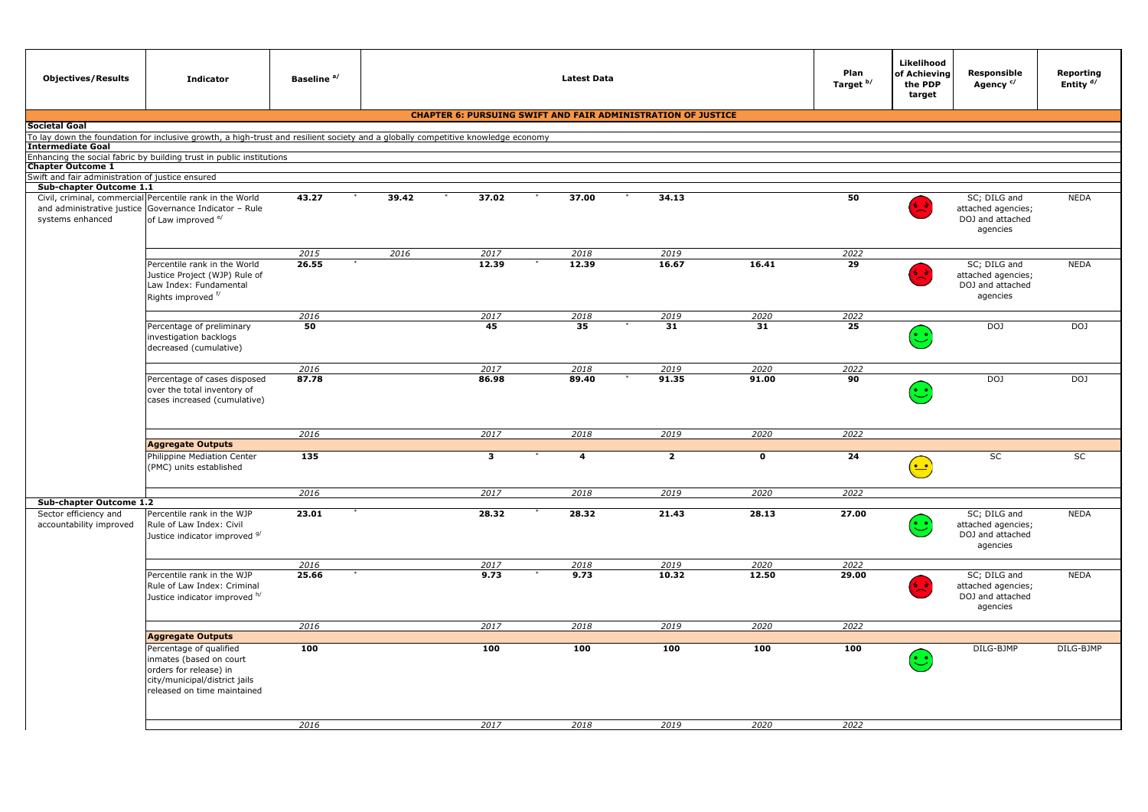| <b>Objectives/Results</b>                                                   | <b>Indicator</b>                                                                                                                                    | Baseline <sup>a/</sup> | <b>Latest Data</b> |                                                                     |                |                |             | Plan<br>Target <sup>b/</sup> | Likelihood<br>of Achieving<br>the PDP<br>target                                 | <b>Responsible</b><br>Agency <sup>c/</sup>                         | Reporting<br>Entity <sup>d/</sup> |
|-----------------------------------------------------------------------------|-----------------------------------------------------------------------------------------------------------------------------------------------------|------------------------|--------------------|---------------------------------------------------------------------|----------------|----------------|-------------|------------------------------|---------------------------------------------------------------------------------|--------------------------------------------------------------------|-----------------------------------|
|                                                                             |                                                                                                                                                     |                        |                    | <b>CHAPTER 6: PURSUING SWIFT AND FAIR ADMINISTRATION OF JUSTICE</b> |                |                |             |                              |                                                                                 |                                                                    |                                   |
| Societal Goal                                                               |                                                                                                                                                     |                        |                    |                                                                     |                |                |             |                              |                                                                                 |                                                                    |                                   |
| <b>Intermediate Goal</b>                                                    | To lay down the foundation for inclusive growth, a high-trust and resilient society and a globally competitive knowledge economy                    |                        |                    |                                                                     |                |                |             |                              |                                                                                 |                                                                    |                                   |
|                                                                             | Enhancing the social fabric by building trust in public institutions                                                                                |                        |                    |                                                                     |                |                |             |                              |                                                                                 |                                                                    |                                   |
| <b>Chapter Outcome 1</b>                                                    |                                                                                                                                                     |                        |                    |                                                                     |                |                |             |                              |                                                                                 |                                                                    |                                   |
| Swift and fair administration of justice ensured<br>Sub-chapter Outcome 1.1 |                                                                                                                                                     |                        |                    |                                                                     |                |                |             |                              |                                                                                 |                                                                    |                                   |
| systems enhanced                                                            | Civil, criminal, commercial Percentile rank in the World<br>and administrative justice Governance Indicator - Rule<br>of Law improved <sup>e/</sup> | 43.27                  | 39.42              | 37.02                                                               | 37.00          | 34.13          |             | 50                           |                                                                                 | SC; DILG and<br>attached agencies;<br>DOJ and attached<br>agencies | <b>NEDA</b>                       |
|                                                                             |                                                                                                                                                     | 2015                   | 2016               | 2017                                                                | 2018           | 2019           |             | 2022                         |                                                                                 |                                                                    |                                   |
|                                                                             | Percentile rank in the World<br>Justice Project (WJP) Rule of<br>Law Index: Fundamental<br>Rights improved f/                                       | 26.55                  |                    | 12.39                                                               | 12.39          | 16.67          | 16.41       | 29                           | . .                                                                             | SC; DILG and<br>attached agencies;<br>DOJ and attached<br>agencies | <b>NEDA</b>                       |
|                                                                             |                                                                                                                                                     | 2016                   |                    | 2017                                                                | 2018           | 2019           | 2020        | 2022                         |                                                                                 |                                                                    |                                   |
|                                                                             | Percentage of preliminary<br>investigation backlogs<br>decreased (cumulative)                                                                       | 50                     |                    | 45                                                                  | 35             | 31             | 31          | 25                           | $\stackrel{\cdot}{\smile}$                                                      | DOJ                                                                | DOJ                               |
|                                                                             |                                                                                                                                                     | 2016                   |                    | 2017                                                                | 2018           | 2019           | 2020        | 2022                         |                                                                                 |                                                                    |                                   |
|                                                                             | Percentage of cases disposed<br>over the total inventory of<br>cases increased (cumulative)                                                         | 87.78                  |                    | 86.98                                                               | 89.40          | 91.35          | 91.00       | 90                           | ဴ                                                                               | DOJ                                                                | DOJ                               |
|                                                                             |                                                                                                                                                     | 2016                   |                    | 2017                                                                | 2018           | 2019           | 2020        | 2022                         |                                                                                 |                                                                    |                                   |
|                                                                             | <b>Aggregate Outputs</b>                                                                                                                            |                        |                    |                                                                     |                |                |             |                              |                                                                                 |                                                                    |                                   |
|                                                                             | Philippine Mediation Center<br>(PMC) units established                                                                                              | 135                    |                    | $\overline{\mathbf{3}}$                                             | $\overline{4}$ | $\overline{2}$ | $\mathbf 0$ | 24                           | $\left(\begin{matrix}\bullet & \bullet \\ \bullet & \bullet\end{matrix}\right)$ | SC                                                                 | SC                                |
|                                                                             |                                                                                                                                                     | 2016                   |                    | 2017                                                                | 2018           | 2019           | 2020        | 2022                         |                                                                                 |                                                                    |                                   |
| Sub-chapter Outcome 1.2                                                     |                                                                                                                                                     |                        |                    |                                                                     |                |                |             |                              |                                                                                 |                                                                    |                                   |
| Sector efficiency and<br>accountability improved                            | Percentile rank in the WJP<br>Rule of Law Index: Civil<br>Justice indicator improved 9/                                                             | 23.01                  |                    | 28.32                                                               | 28.32          | 21.43          | 28.13       | 27.00                        | C                                                                               | SC; DILG and<br>attached agencies;<br>DOJ and attached<br>agencies | <b>NEDA</b>                       |
|                                                                             |                                                                                                                                                     | 2016                   |                    | 2017                                                                | 2018           | 2019           | 2020        | 2022                         |                                                                                 |                                                                    |                                   |
|                                                                             | Percentile rank in the WJP<br>Rule of Law Index: Criminal<br>Justice indicator improved h/                                                          | 25.66                  |                    | 9.73                                                                | 9.73           | 10.32          | 12.50       | 29.00                        |                                                                                 | SC; DILG and<br>attached agencies;<br>DOJ and attached<br>agencies | <b>NEDA</b>                       |
|                                                                             |                                                                                                                                                     | 2016                   |                    | 2017                                                                | 2018           | 2019           | 2020        | 2022                         |                                                                                 |                                                                    |                                   |
|                                                                             | <b>Aggregate Outputs</b>                                                                                                                            |                        |                    |                                                                     |                |                |             |                              |                                                                                 |                                                                    |                                   |
|                                                                             | Percentage of qualified<br>inmates (based on court<br>orders for release) in<br>city/municipal/district jails<br>released on time maintained        | 100                    |                    | 100                                                                 | 100            | 100            | 100         | 100                          | ಲ                                                                               | DILG-BJMP                                                          | DILG-BJMP                         |
|                                                                             |                                                                                                                                                     |                        |                    |                                                                     |                |                |             |                              |                                                                                 |                                                                    |                                   |
|                                                                             |                                                                                                                                                     | 2016                   |                    | 2017                                                                | 2018           | 2019           | 2020        | 2022                         |                                                                                 |                                                                    |                                   |